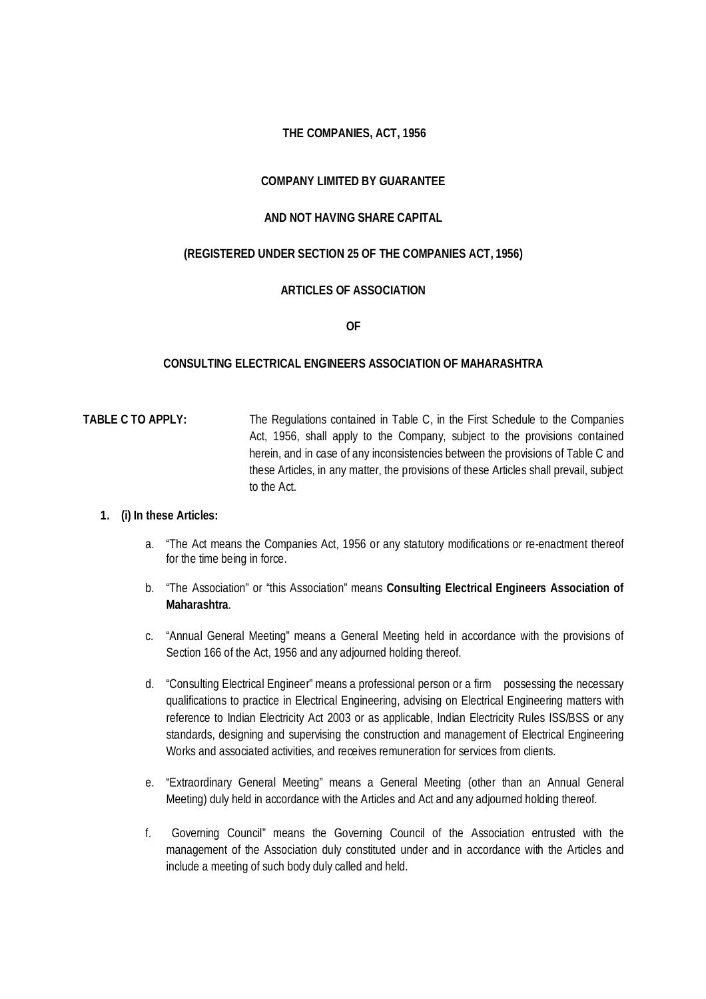## **THE COMPANIES, ACT, 1956**

## **COMPANY LIMITED BY GUARANTEE**

### **AND NOT HAVING SHARE CAPITAL**

### **(REGISTERED UNDER SECTION 25 OF THE COMPANIES ACT, 1956)**

### **ARTICLES OF ASSOCIATION**

**OF**

#### **CONSULTING ELECTRICAL ENGINEERS ASSOCIATION OF MAHARASHTRA**

# **TABLE C TO APPLY:** The Regulations contained in Table C, in the First Schedule to the Companies Act, 1956, shall apply to the Company, subject to the provisions contained herein, and in case of any inconsistencies between the provisions of Table C and these Articles, in any matter, the provisions of these Articles shall prevail, subject to the Act.

#### **1. (i) In these Articles:**

- a. "The Act means the Companies Act, 1956 or any statutory modifications or re-enactment thereof for the time being in force.
- b. "The Association" or "this Association" means **Consulting Electrical Engineers Association of Maharashtra**.
- c. "Annual General Meeting" means a General Meeting held in accordance with the provisions of Section 166 of the Act, 1956 and any adjourned holding thereof.
- d. "Consulting Electrical Engineer" means a professional person or a firm possessing the necessary qualifications to practice in Electrical Engineering, advising on Electrical Engineering matters with reference to Indian Electricity Act 2003 or as applicable, Indian Electricity Rules ISS/BSS or any standards, designing and supervising the construction and management of Electrical Engineering Works and associated activities, and receives remuneration for services from clients.
- e. "Extraordinary General Meeting" means a General Meeting (other than an Annual General Meeting) duly held in accordance with the Articles and Act and any adjourned holding thereof.
- f. Governing Council" means the Governing Council of the Association entrusted with the management of the Association duly constituted under and in accordance with the Articles and include a meeting of such body duly called and held.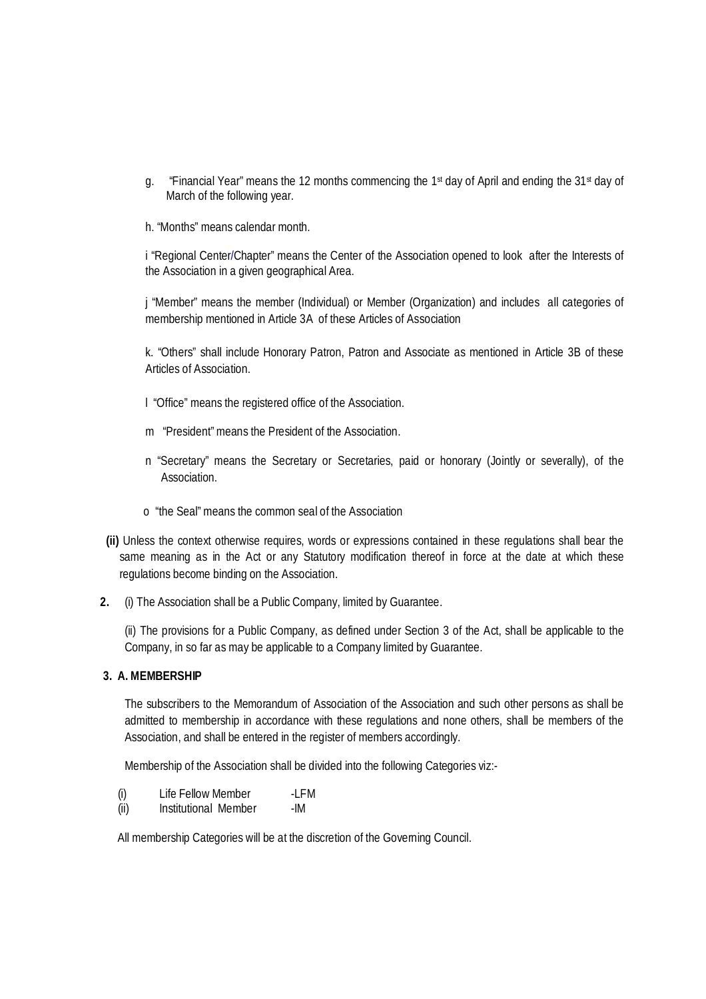- g. "Financial Year" means the 12 months commencing the 1st day of April and ending the 31st day of March of the following year.
- h. "Months" means calendar month.

i "Regional Center/Chapter" means the Center of the Association opened to look after the Interests of the Association in a given geographical Area.

j "Member" means the member (Individual) or Member (Organization) and includes all categories of membership mentioned in Article 3A of these Articles of Association

k. "Others" shall include Honorary Patron, Patron and Associate as mentioned in Article 3B of these Articles of Association.

- l "Office" means the registered office of the Association.
- m "President" means the President of the Association.
- n "Secretary" means the Secretary or Secretaries, paid or honorary (Jointly or severally), of the Association.
- o "the Seal" means the common seal of the Association
- **(ii)** Unless the context otherwise requires, words or expressions contained in these regulations shall bear the same meaning as in the Act or any Statutory modification thereof in force at the date at which these regulations become binding on the Association.
- **2.** (i) The Association shall be a Public Company, limited by Guarantee.

(ii) The provisions for a Public Company, as defined under Section 3 of the Act, shall be applicable to the Company, in so far as may be applicable to a Company limited by Guarantee.

### **3. A. MEMBERSHIP**

The subscribers to the Memorandum of Association of the Association and such other persons as shall be admitted to membership in accordance with these regulations and none others, shall be members of the Association, and shall be entered in the register of members accordingly.

Membership of the Association shall be divided into the following Categories viz:-

- (i) Life Fellow Member -LFM
- (ii) Institutional Member -IM

All membership Categories will be at the discretion of the Governing Council.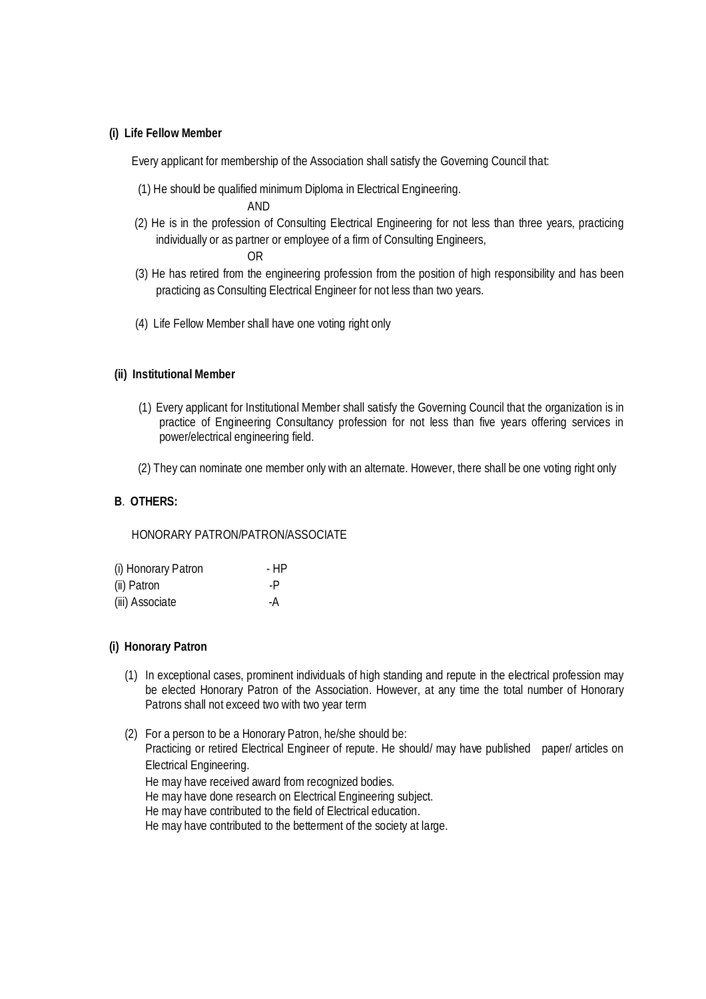#### **(i) Life Fellow Member**

Every applicant for membership of the Association shall satisfy the Governing Council that:

(1) He should be qualified minimum Diploma in Electrical Engineering.

AND

(2) He is in the profession of Consulting Electrical Engineering for not less than three years, practicing individually or as partner or employee of a firm of Consulting Engineers,

OR

- (3) He has retired from the engineering profession from the position of high responsibility and has been practicing as Consulting Electrical Engineer for not less than two years.
- (4) Life Fellow Member shall have one voting right only

### **(ii) Institutional Member**

- (1) Every applicant for Institutional Member shall satisfy the Governing Council that the organization is in practice of Engineering Consultancy profession for not less than five years offering services in power/electrical engineering field.
- (2) They can nominate one member only with an alternate. However, there shall be one voting right only

## **B**. **OTHERS:**

HONORARY PATRON/PATRON/ASSOCIATE

| (i) Honorary Patron | - HP |
|---------------------|------|
| (ii) Patron         | -P   |
| (iii) Associate     | -A   |

### **(i) Honorary Patron**

- (1) In exceptional cases, prominent individuals of high standing and repute in the electrical profession may be elected Honorary Patron of the Association. However, at any time the total number of Honorary Patrons shall not exceed two with two year term
- (2) For a person to be a Honorary Patron, he/she should be: Practicing or retired Electrical Engineer of repute. He should/ may have published paper/ articles on Electrical Engineering. He may have received award from recognized bodies. He may have done research on Electrical Engineering subject. He may have contributed to the field of Electrical education.
	- He may have contributed to the betterment of the society at large.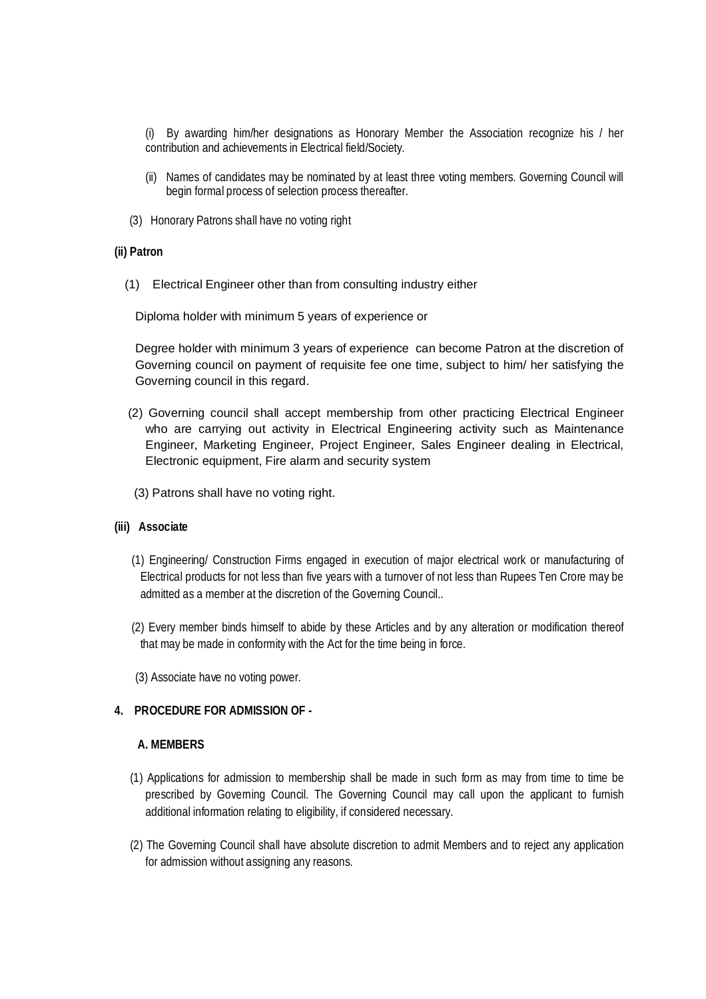(i) By awarding him/her designations as Honorary Member the Association recognize his / her contribution and achievements in Electrical field/Society.

- (ii) Names of candidates may be nominated by at least three voting members. Governing Council will begin formal process of selection process thereafter.
- (3) Honorary Patrons shall have no voting right

#### **(ii) Patron**

(1) Electrical Engineer other than from consulting industry either

Diploma holder with minimum 5 years of experience or

Degree holder with minimum 3 years of experience can become Patron at the discretion of Governing council on payment of requisite fee one time, subject to him/ her satisfying the Governing council in this regard.

- (2) Governing council shall accept membership from other practicing Electrical Engineer who are carrying out activity in Electrical Engineering activity such as Maintenance Engineer, Marketing Engineer, Project Engineer, Sales Engineer dealing in Electrical, Electronic equipment, Fire alarm and security system
- (3) Patrons shall have no voting right.

### **(iii) Associate**

- (1) Engineering/ Construction Firms engaged in execution of major electrical work or manufacturing of Electrical products for not less than five years with a turnover of not less than Rupees Ten Crore may be admitted as a member at the discretion of the Governing Council..
- (2) Every member binds himself to abide by these Articles and by any alteration or modification thereof that may be made in conformity with the Act for the time being in force.
- (3) Associate have no voting power.

### **4. PROCEDURE FOR ADMISSION OF -**

#### **A. MEMBERS**

- (1) Applications for admission to membership shall be made in such form as may from time to time be prescribed by Governing Council. The Governing Council may call upon the applicant to furnish additional information relating to eligibility, if considered necessary.
- (2) The Governing Council shall have absolute discretion to admit Members and to reject any application for admission without assigning any reasons.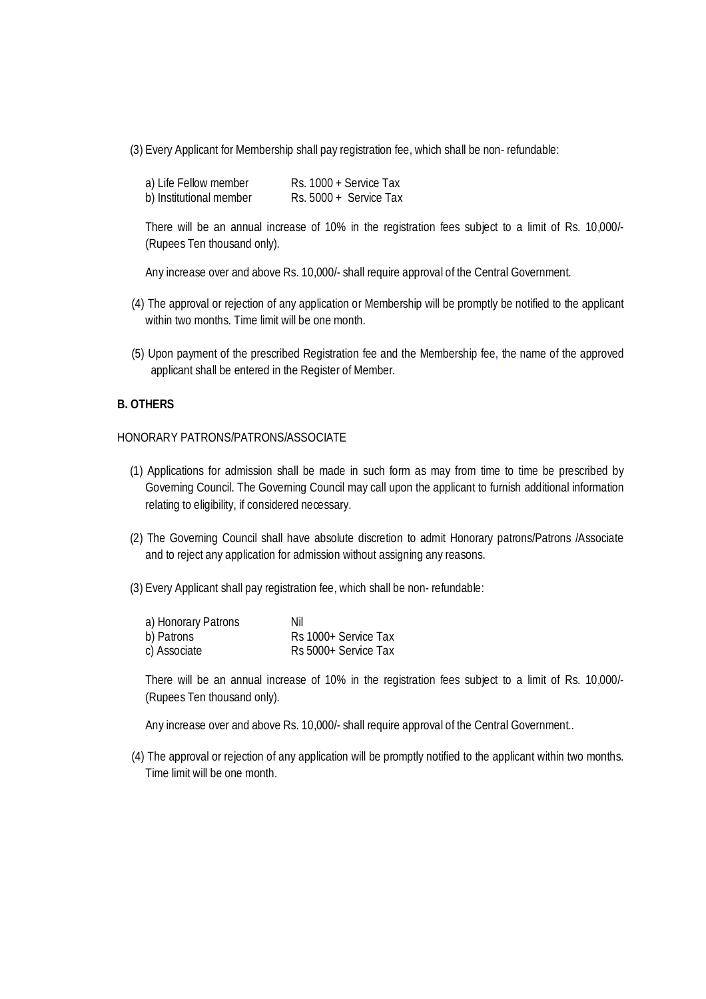(3) Every Applicant for Membership shall pay registration fee, which shall be non- refundable:

| a) Life Fellow member   | $Rs. 1000 + Service Tax$ |
|-------------------------|--------------------------|
| b) Institutional member | Rs. 5000 + Service Tax   |

There will be an annual increase of 10% in the registration fees subject to a limit of Rs. 10,000/- (Rupees Ten thousand only).

Any increase over and above Rs. 10,000/- shall require approval of the Central Government.

- (4) The approval or rejection of any application or Membership will be promptly be notified to the applicant within two months. Time limit will be one month.
- (5) Upon payment of the prescribed Registration fee and the Membership fee, the name of the approved applicant shall be entered in the Register of Member.

### **B. OTHERS**

#### HONORARY PATRONS/PATRONS/ASSOCIATE

- (1) Applications for admission shall be made in such form as may from time to time be prescribed by Governing Council. The Governing Council may call upon the applicant to furnish additional information relating to eligibility, if considered necessary.
- (2) The Governing Council shall have absolute discretion to admit Honorary patrons/Patrons /Associate and to reject any application for admission without assigning any reasons.
- (3) Every Applicant shall pay registration fee, which shall be non- refundable:

| a) Honorary Patrons | Nil                  |
|---------------------|----------------------|
| b) Patrons          | Rs 1000+ Service Tax |
| c) Associate        | Rs 5000+ Service Tax |

There will be an annual increase of 10% in the registration fees subject to a limit of Rs. 10,000/- (Rupees Ten thousand only).

Any increase over and above Rs. 10,000/- shall require approval of the Central Government..

(4) The approval or rejection of any application will be promptly notified to the applicant within two months. Time limit will be one month.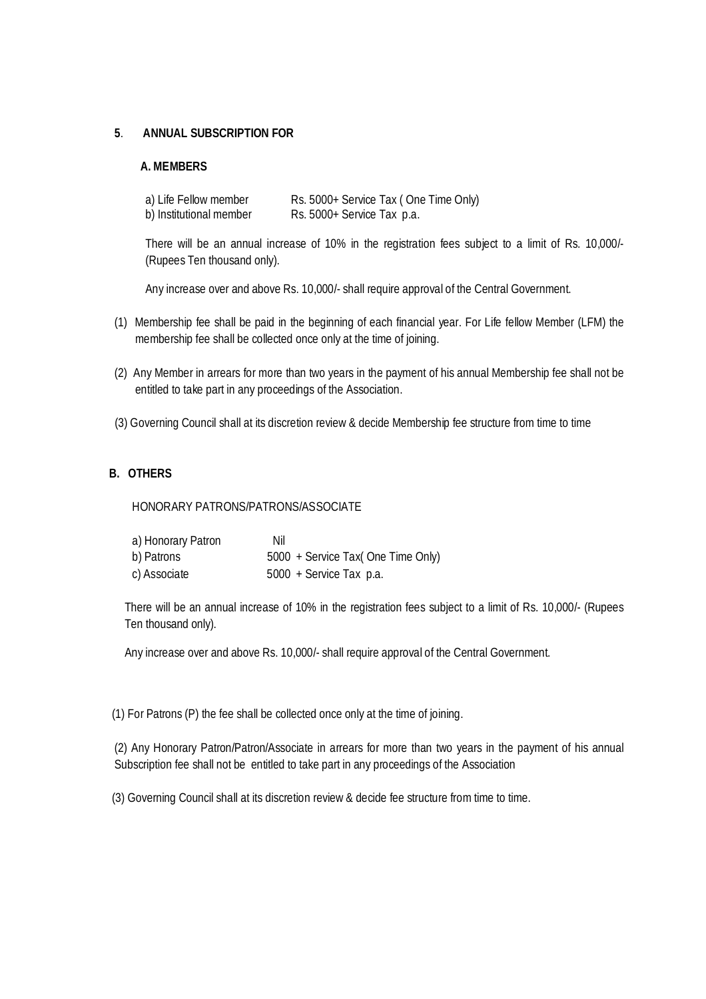## **5**. **ANNUAL SUBSCRIPTION FOR**

### **A. MEMBERS**

| a) Life Fellow member   | Rs. 5000+ Service Tax (One Time Only) |
|-------------------------|---------------------------------------|
| b) Institutional member | Rs. 5000+ Service Tax p.a.            |

There will be an annual increase of 10% in the registration fees subject to a limit of Rs. 10,000/- (Rupees Ten thousand only).

Any increase over and above Rs. 10,000/- shall require approval of the Central Government.

- (1) Membership fee shall be paid in the beginning of each financial year. For Life fellow Member (LFM) the membership fee shall be collected once only at the time of joining.
- (2) Any Member in arrears for more than two years in the payment of his annual Membership fee shall not be entitled to take part in any proceedings of the Association.
- (3) Governing Council shall at its discretion review & decide Membership fee structure from time to time

# **B. OTHERS**

HONORARY PATRONS/PATRONS/ASSOCIATE

| a) Honorary Patron | Nil                                |
|--------------------|------------------------------------|
| b) Patrons         | 5000 + Service Tax( One Time Only) |
| c) Associate       | 5000 + Service Tax p.a.            |

There will be an annual increase of 10% in the registration fees subject to a limit of Rs. 10,000/- (Rupees Ten thousand only).

Any increase over and above Rs. 10,000/- shall require approval of the Central Government.

(1) For Patrons (P) the fee shall be collected once only at the time of joining.

(2) Any Honorary Patron/Patron/Associate in arrears for more than two years in the payment of his annual Subscription fee shall not be entitled to take part in any proceedings of the Association

(3) Governing Council shall at its discretion review & decide fee structure from time to time.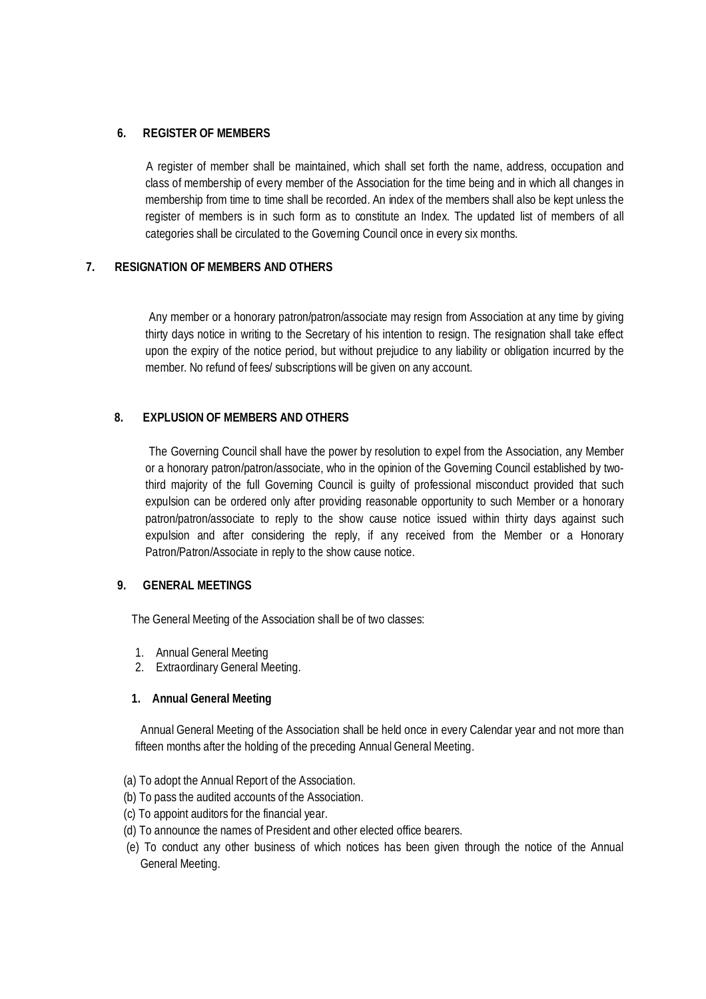## **6. REGISTER OF MEMBERS**

A register of member shall be maintained, which shall set forth the name, address, occupation and class of membership of every member of the Association for the time being and in which all changes in membership from time to time shall be recorded. An index of the members shall also be kept unless the register of members is in such form as to constitute an Index. The updated list of members of all categories shall be circulated to the Governing Council once in every six months.

# **7. RESIGNATION OF MEMBERS AND OTHERS**

Any member or a honorary patron/patron/associate may resign from Association at any time by giving thirty days notice in writing to the Secretary of his intention to resign. The resignation shall take effect upon the expiry of the notice period, but without prejudice to any liability or obligation incurred by the member. No refund of fees/ subscriptions will be given on any account.

# **8. EXPLUSION OF MEMBERS AND OTHERS**

The Governing Council shall have the power by resolution to expel from the Association, any Member or a honorary patron/patron/associate, who in the opinion of the Governing Council established by twothird majority of the full Governing Council is guilty of professional misconduct provided that such expulsion can be ordered only after providing reasonable opportunity to such Member or a honorary patron/patron/associate to reply to the show cause notice issued within thirty days against such expulsion and after considering the reply, if any received from the Member or a Honorary Patron/Patron/Associate in reply to the show cause notice.

### **9. GENERAL MEETINGS**

The General Meeting of the Association shall be of two classes:

- 1. Annual General Meeting
- 2. Extraordinary General Meeting.

### **1. Annual General Meeting**

Annual General Meeting of the Association shall be held once in every Calendar year and not more than fifteen months after the holding of the preceding Annual General Meeting.

- (a) To adopt the Annual Report of the Association.
- (b) To pass the audited accounts of the Association.
- (c) To appoint auditors for the financial year.
- (d) To announce the names of President and other elected office bearers.
- (e) To conduct any other business of which notices has been given through the notice of the Annual General Meeting.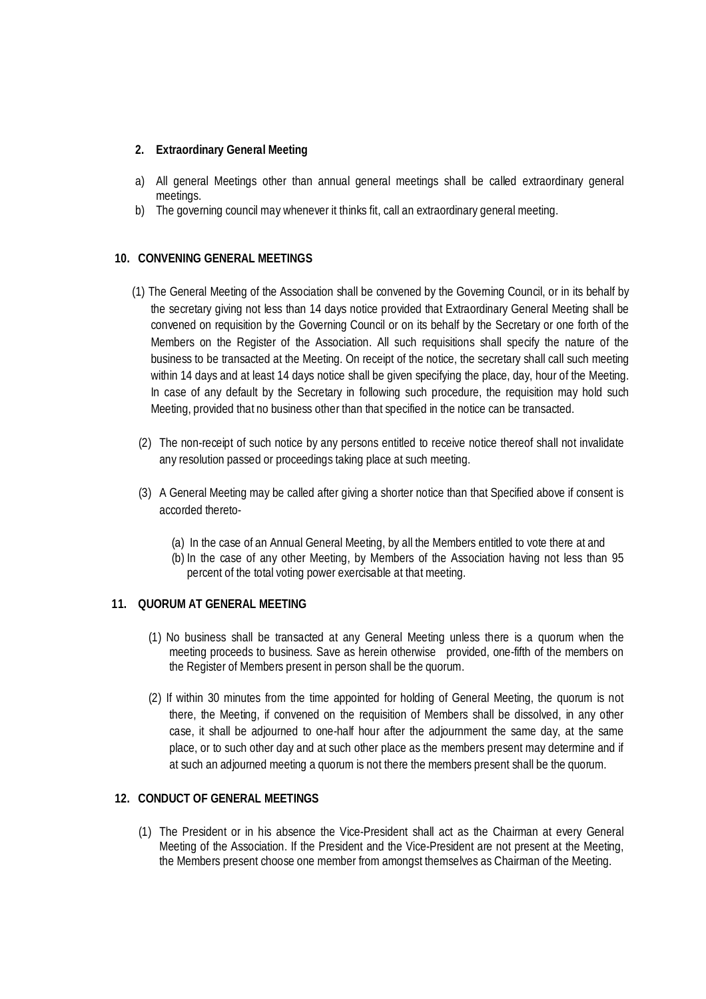## **2. Extraordinary General Meeting**

- a) All general Meetings other than annual general meetings shall be called extraordinary general meetings.
- b) The governing council may whenever it thinks fit, call an extraordinary general meeting.

## **10. CONVENING GENERAL MEETINGS**

- (1) The General Meeting of the Association shall be convened by the Governing Council, or in its behalf by the secretary giving not less than 14 days notice provided that Extraordinary General Meeting shall be convened on requisition by the Governing Council or on its behalf by the Secretary or one forth of the Members on the Register of the Association. All such requisitions shall specify the nature of the business to be transacted at the Meeting. On receipt of the notice, the secretary shall call such meeting within 14 days and at least 14 days notice shall be given specifying the place, day, hour of the Meeting. In case of any default by the Secretary in following such procedure, the requisition may hold such Meeting, provided that no business other than that specified in the notice can be transacted.
- (2) The non-receipt of such notice by any persons entitled to receive notice thereof shall not invalidate any resolution passed or proceedings taking place at such meeting.
- (3) A General Meeting may be called after giving a shorter notice than that Specified above if consent is accorded thereto-
	- (a) In the case of an Annual General Meeting, by all the Members entitled to vote there at and
	- (b) In the case of any other Meeting, by Members of the Association having not less than 95 percent of the total voting power exercisable at that meeting.

### **11. QUORUM AT GENERAL MEETING**

- (1) No business shall be transacted at any General Meeting unless there is a quorum when the meeting proceeds to business. Save as herein otherwise provided, one-fifth of the members on the Register of Members present in person shall be the quorum.
- (2) If within 30 minutes from the time appointed for holding of General Meeting, the quorum is not there, the Meeting, if convened on the requisition of Members shall be dissolved, in any other case, it shall be adjourned to one-half hour after the adjournment the same day, at the same place, or to such other day and at such other place as the members present may determine and if at such an adjourned meeting a quorum is not there the members present shall be the quorum.

# **12. CONDUCT OF GENERAL MEETINGS**

(1) The President or in his absence the Vice-President shall act as the Chairman at every General Meeting of the Association. If the President and the Vice-President are not present at the Meeting, the Members present choose one member from amongst themselves as Chairman of the Meeting.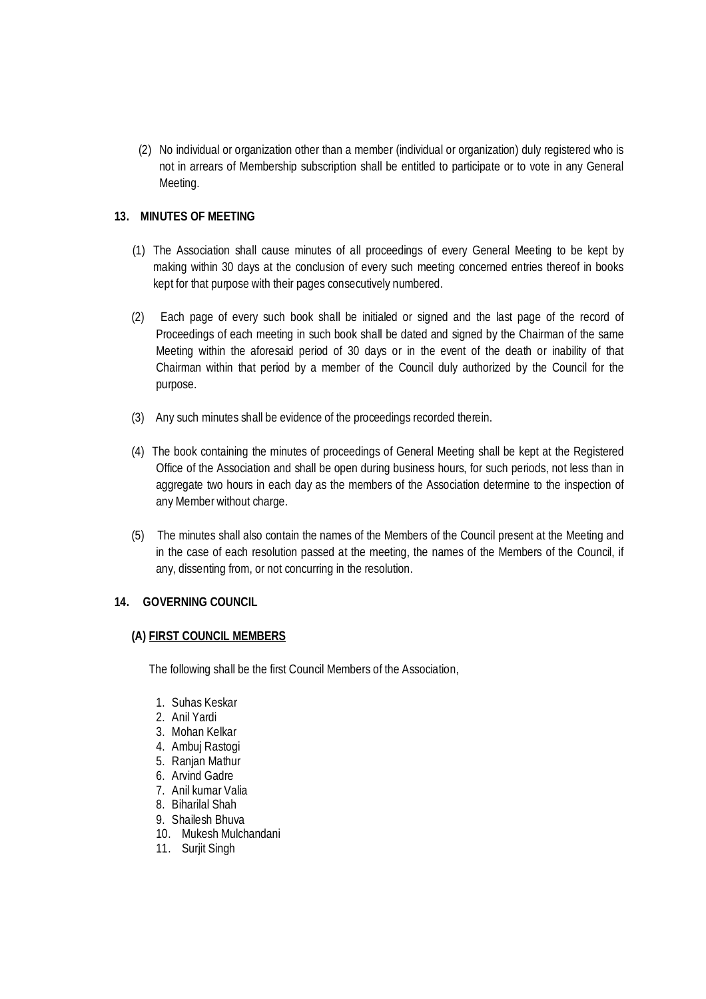(2) No individual or organization other than a member (individual or organization) duly registered who is not in arrears of Membership subscription shall be entitled to participate or to vote in any General Meeting.

## **13. MINUTES OF MEETING**

- (1) The Association shall cause minutes of all proceedings of every General Meeting to be kept by making within 30 days at the conclusion of every such meeting concerned entries thereof in books kept for that purpose with their pages consecutively numbered.
- (2) Each page of every such book shall be initialed or signed and the last page of the record of Proceedings of each meeting in such book shall be dated and signed by the Chairman of the same Meeting within the aforesaid period of 30 days or in the event of the death or inability of that Chairman within that period by a member of the Council duly authorized by the Council for the purpose.
- (3) Any such minutes shall be evidence of the proceedings recorded therein.
- (4) The book containing the minutes of proceedings of General Meeting shall be kept at the Registered Office of the Association and shall be open during business hours, for such periods, not less than in aggregate two hours in each day as the members of the Association determine to the inspection of any Member without charge.
- (5) The minutes shall also contain the names of the Members of the Council present at the Meeting and in the case of each resolution passed at the meeting, the names of the Members of the Council, if any, dissenting from, or not concurring in the resolution.

### **14. GOVERNING COUNCIL**

### **(A) FIRST COUNCIL MEMBERS**

The following shall be the first Council Members of the Association,

- 1. Suhas Keskar
- 2. Anil Yardi
- 3. Mohan Kelkar
- 4. Ambuj Rastogi
- 5. Ranjan Mathur
- 6. Arvind Gadre
- 7. Anil kumar Valia
- 8. Biharilal Shah
- 9. Shailesh Bhuva
- 10. Mukesh Mulchandani
- 11. Surjit Singh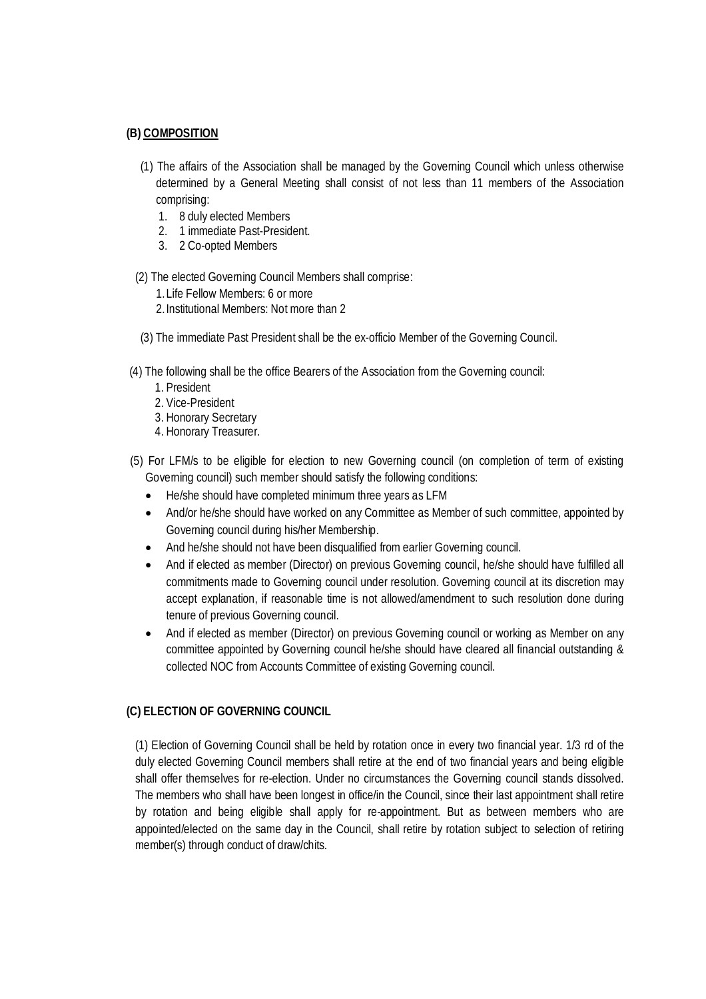### **(B) COMPOSITION**

- (1) The affairs of the Association shall be managed by the Governing Council which unless otherwise determined by a General Meeting shall consist of not less than 11 members of the Association comprising:
	- 1. 8 duly elected Members
	- 2. 1 immediate Past-President.
	- 3. 2 Co-opted Members

## (2) The elected Governing Council Members shall comprise:

- 1.Life Fellow Members: 6 or more
- 2.Institutional Members: Not more than 2
- (3) The immediate Past President shall be the ex-officio Member of the Governing Council.
- (4) The following shall be the office Bearers of the Association from the Governing council:
	- 1. President
	- 2. Vice-President
	- 3. Honorary Secretary
	- 4. Honorary Treasurer.
- (5) For LFM/s to be eligible for election to new Governing council (on completion of term of existing Governing council) such member should satisfy the following conditions:
	- He/she should have completed minimum three years as LFM
	- And/or he/she should have worked on any Committee as Member of such committee, appointed by Governing council during his/her Membership.
	- And he/she should not have been disqualified from earlier Governing council.
	- And if elected as member (Director) on previous Governing council, he/she should have fulfilled all commitments made to Governing council under resolution. Governing council at its discretion may accept explanation, if reasonable time is not allowed/amendment to such resolution done during tenure of previous Governing council.
	- And if elected as member (Director) on previous Governing council or working as Member on any committee appointed by Governing council he/she should have cleared all financial outstanding & collected NOC from Accounts Committee of existing Governing council.

# **(C) ELECTION OF GOVERNING COUNCIL**

(1) Election of Governing Council shall be held by rotation once in every two financial year. 1/3 rd of the duly elected Governing Council members shall retire at the end of two financial years and being eligible shall offer themselves for re-election. Under no circumstances the Governing council stands dissolved. The members who shall have been longest in office/in the Council, since their last appointment shall retire by rotation and being eligible shall apply for re-appointment. But as between members who are appointed/elected on the same day in the Council, shall retire by rotation subject to selection of retiring member(s) through conduct of draw/chits.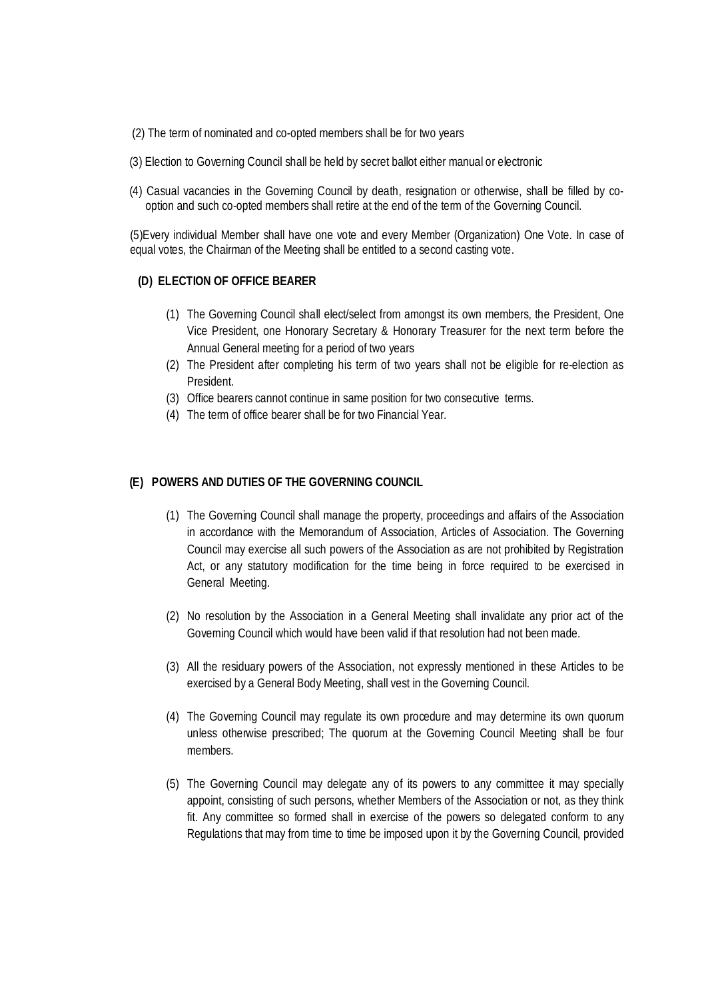- (2) The term of nominated and co-opted members shall be for two years
- (3) Election to Governing Council shall be held by secret ballot either manual or electronic
- (4) Casual vacancies in the Governing Council by death, resignation or otherwise, shall be filled by cooption and such co-opted members shall retire at the end of the term of the Governing Council.

(5)Every individual Member shall have one vote and every Member (Organization) One Vote. In case of equal votes, the Chairman of the Meeting shall be entitled to a second casting vote.

## **(D) ELECTION OF OFFICE BEARER**

- (1) The Governing Council shall elect/select from amongst its own members, the President, One Vice President, one Honorary Secretary & Honorary Treasurer for the next term before the Annual General meeting for a period of two years
- (2) The President after completing his term of two years shall not be eligible for re-election as President.
- (3) Office bearers cannot continue in same position for two consecutive terms.
- (4) The term of office bearer shall be for two Financial Year.

### **(E) POWERS AND DUTIES OF THE GOVERNING COUNCIL**

- (1) The Governing Council shall manage the property, proceedings and affairs of the Association in accordance with the Memorandum of Association, Articles of Association. The Governing Council may exercise all such powers of the Association as are not prohibited by Registration Act, or any statutory modification for the time being in force required to be exercised in General Meeting.
- (2) No resolution by the Association in a General Meeting shall invalidate any prior act of the Governing Council which would have been valid if that resolution had not been made.
- (3) All the residuary powers of the Association, not expressly mentioned in these Articles to be exercised by a General Body Meeting, shall vest in the Governing Council.
- (4) The Governing Council may regulate its own procedure and may determine its own quorum unless otherwise prescribed; The quorum at the Governing Council Meeting shall be four members.
- (5) The Governing Council may delegate any of its powers to any committee it may specially appoint, consisting of such persons, whether Members of the Association or not, as they think fit. Any committee so formed shall in exercise of the powers so delegated conform to any Regulations that may from time to time be imposed upon it by the Governing Council, provided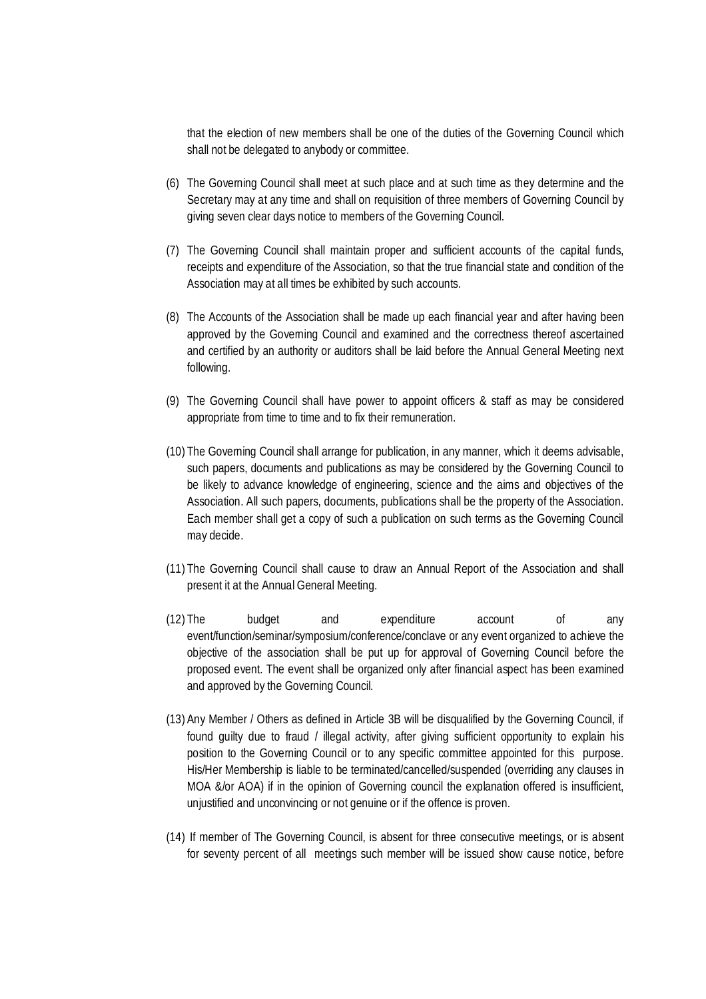that the election of new members shall be one of the duties of the Governing Council which shall not be delegated to anybody or committee.

- (6) The Governing Council shall meet at such place and at such time as they determine and the Secretary may at any time and shall on requisition of three members of Governing Council by giving seven clear days notice to members of the Governing Council.
- (7) The Governing Council shall maintain proper and sufficient accounts of the capital funds, receipts and expenditure of the Association, so that the true financial state and condition of the Association may at all times be exhibited by such accounts.
- (8) The Accounts of the Association shall be made up each financial year and after having been approved by the Governing Council and examined and the correctness thereof ascertained and certified by an authority or auditors shall be laid before the Annual General Meeting next following.
- (9) The Governing Council shall have power to appoint officers & staff as may be considered appropriate from time to time and to fix their remuneration.
- (10) The Governing Council shall arrange for publication, in any manner, which it deems advisable, such papers, documents and publications as may be considered by the Governing Council to be likely to advance knowledge of engineering, science and the aims and objectives of the Association. All such papers, documents, publications shall be the property of the Association. Each member shall get a copy of such a publication on such terms as the Governing Council may decide.
- (11) The Governing Council shall cause to draw an Annual Report of the Association and shall present it at the Annual General Meeting.
- (12) The budget and expenditure account of any event/function/seminar/symposium/conference/conclave or any event organized to achieve the objective of the association shall be put up for approval of Governing Council before the proposed event. The event shall be organized only after financial aspect has been examined and approved by the Governing Council.
- (13) Any Member / Others as defined in Article 3B will be disqualified by the Governing Council, if found guilty due to fraud / illegal activity, after giving sufficient opportunity to explain his position to the Governing Council or to any specific committee appointed for this purpose. His/Her Membership is liable to be terminated/cancelled/suspended (overriding any clauses in MOA &/or AOA) if in the opinion of Governing council the explanation offered is insufficient, unjustified and unconvincing or not genuine or if the offence is proven.
- (14) If member of The Governing Council, is absent for three consecutive meetings, or is absent for seventy percent of all meetings such member will be issued show cause notice, before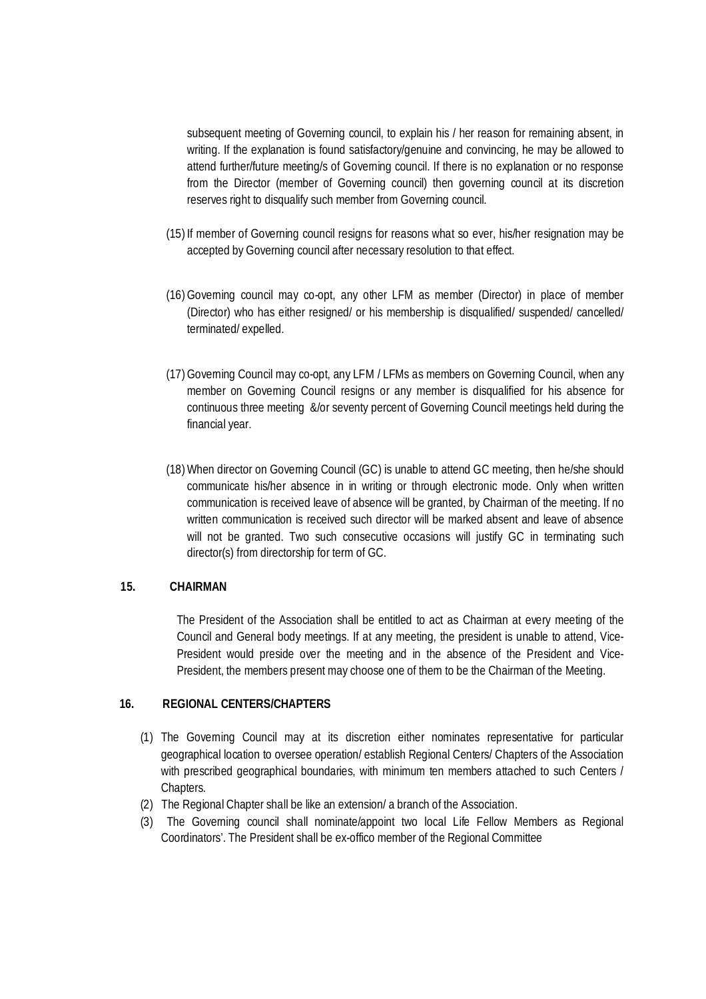subsequent meeting of Governing council, to explain his / her reason for remaining absent, in writing. If the explanation is found satisfactory/genuine and convincing, he may be allowed to attend further/future meeting/s of Governing council. If there is no explanation or no response from the Director (member of Governing council) then governing council at its discretion reserves right to disqualify such member from Governing council.

- (15) If member of Governing council resigns for reasons what so ever, his/her resignation may be accepted by Governing council after necessary resolution to that effect.
- (16)Governing council may co-opt, any other LFM as member (Director) in place of member (Director) who has either resigned/ or his membership is disqualified/ suspended/ cancelled/ terminated/ expelled.
- (17)Governing Council may co-opt, any LFM / LFMs as members on Governing Council, when any member on Governing Council resigns or any member is disqualified for his absence for continuous three meeting &/or seventy percent of Governing Council meetings held during the financial year.
- (18)When director on Governing Council (GC) is unable to attend GC meeting, then he/she should communicate his/her absence in in writing or through electronic mode. Only when written communication is received leave of absence will be granted, by Chairman of the meeting. If no written communication is received such director will be marked absent and leave of absence will not be granted. Two such consecutive occasions will justify GC in terminating such director(s) from directorship for term of GC.

### **15. CHAIRMAN**

The President of the Association shall be entitled to act as Chairman at every meeting of the Council and General body meetings. If at any meeting, the president is unable to attend, Vice-President would preside over the meeting and in the absence of the President and Vice-President, the members present may choose one of them to be the Chairman of the Meeting.

#### **16. REGIONAL CENTERS/CHAPTERS**

- (1) The Governing Council may at its discretion either nominates representative for particular geographical location to oversee operation/ establish Regional Centers/ Chapters of the Association with prescribed geographical boundaries, with minimum ten members attached to such Centers / Chapters.
- (2) The Regional Chapter shall be like an extension/ a branch of the Association.
- (3) The Governing council shall nominate/appoint two local Life Fellow Members as Regional Coordinators'. The President shall be ex-offico member of the Regional Committee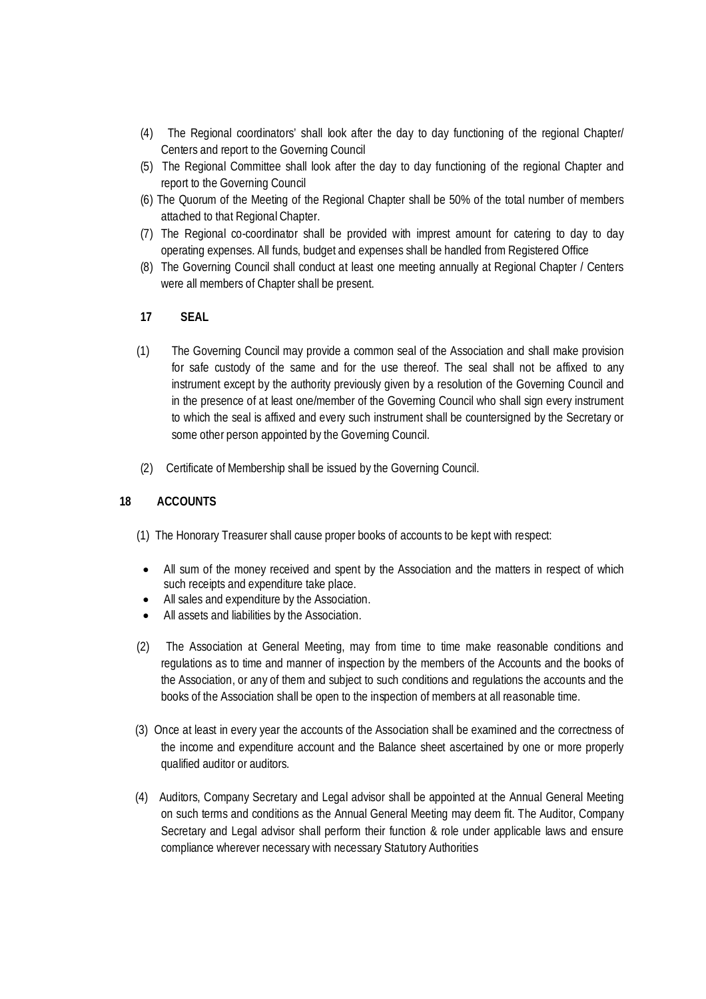- (4) The Regional coordinators' shall look after the day to day functioning of the regional Chapter/ Centers and report to the Governing Council
- (5) The Regional Committee shall look after the day to day functioning of the regional Chapter and report to the Governing Council
- (6) The Quorum of the Meeting of the Regional Chapter shall be 50% of the total number of members attached to that Regional Chapter.
- (7) The Regional co-coordinator shall be provided with imprest amount for catering to day to day operating expenses. All funds, budget and expenses shall be handled from Registered Office
- (8) The Governing Council shall conduct at least one meeting annually at Regional Chapter / Centers were all members of Chapter shall be present.

## **17 SEAL**

- (1) The Governing Council may provide a common seal of the Association and shall make provision for safe custody of the same and for the use thereof. The seal shall not be affixed to any instrument except by the authority previously given by a resolution of the Governing Council and in the presence of at least one/member of the Governing Council who shall sign every instrument to which the seal is affixed and every such instrument shall be countersigned by the Secretary or some other person appointed by the Governing Council.
- (2) Certificate of Membership shall be issued by the Governing Council.

## **18 ACCOUNTS**

- (1) The Honorary Treasurer shall cause proper books of accounts to be kept with respect:
- All sum of the money received and spent by the Association and the matters in respect of which such receipts and expenditure take place.
- All sales and expenditure by the Association.
- All assets and liabilities by the Association.
- (2) The Association at General Meeting, may from time to time make reasonable conditions and regulations as to time and manner of inspection by the members of the Accounts and the books of the Association, or any of them and subject to such conditions and regulations the accounts and the books of the Association shall be open to the inspection of members at all reasonable time.
- (3) Once at least in every year the accounts of the Association shall be examined and the correctness of the income and expenditure account and the Balance sheet ascertained by one or more properly qualified auditor or auditors.
- (4) Auditors, Company Secretary and Legal advisor shall be appointed at the Annual General Meeting on such terms and conditions as the Annual General Meeting may deem fit. The Auditor, Company Secretary and Legal advisor shall perform their function & role under applicable laws and ensure compliance wherever necessary with necessary Statutory Authorities